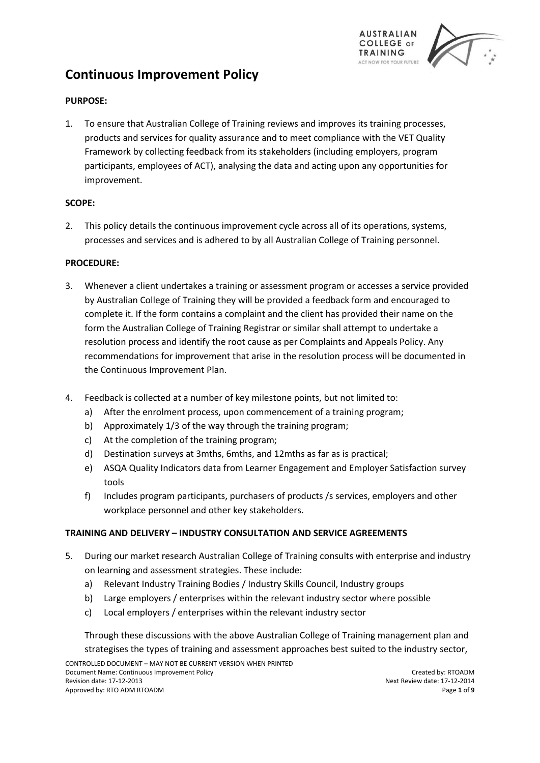

# **Continuous Improvement Policy**

## **PURPOSE:**

1. To ensure that Australian College of Training reviews and improves its training processes, products and services for quality assurance and to meet compliance with the VET Quality Framework by collecting feedback from its stakeholders (including employers, program participants, employees of ACT), analysing the data and acting upon any opportunities for improvement.

### **SCOPE:**

2. This policy details the continuous improvement cycle across all of its operations, systems, processes and services and is adhered to by all Australian College of Training personnel.

## **PROCEDURE:**

- 3. Whenever a client undertakes a training or assessment program or accesses a service provided by Australian College of Training they will be provided a feedback form and encouraged to complete it. If the form contains a complaint and the client has provided their name on the form the Australian College of Training Registrar or similar shall attempt to undertake a resolution process and identify the root cause as per Complaints and Appeals Policy. Any recommendations for improvement that arise in the resolution process will be documented in the Continuous Improvement Plan.
- 4. Feedback is collected at a number of key milestone points, but not limited to:
	- a) After the enrolment process, upon commencement of a training program;
	- b) Approximately 1/3 of the way through the training program;
	- c) At the completion of the training program;
	- d) Destination surveys at 3mths, 6mths, and 12mths as far as is practical;
	- e) ASQA Quality Indicators data from Learner Engagement and Employer Satisfaction survey tools
	- f) Includes program participants, purchasers of products /s services, employers and other workplace personnel and other key stakeholders.

#### **TRAINING AND DELIVERY – INDUSTRY CONSULTATION AND SERVICE AGREEMENTS**

- 5. During our market research Australian College of Training consults with enterprise and industry on learning and assessment strategies. These include:
	- a) Relevant Industry Training Bodies / Industry Skills Council, Industry groups
	- b) Large employers / enterprises within the relevant industry sector where possible
	- c) Local employers / enterprises within the relevant industry sector

Through these discussions with the above Australian College of Training management plan and strategises the types of training and assessment approaches best suited to the industry sector,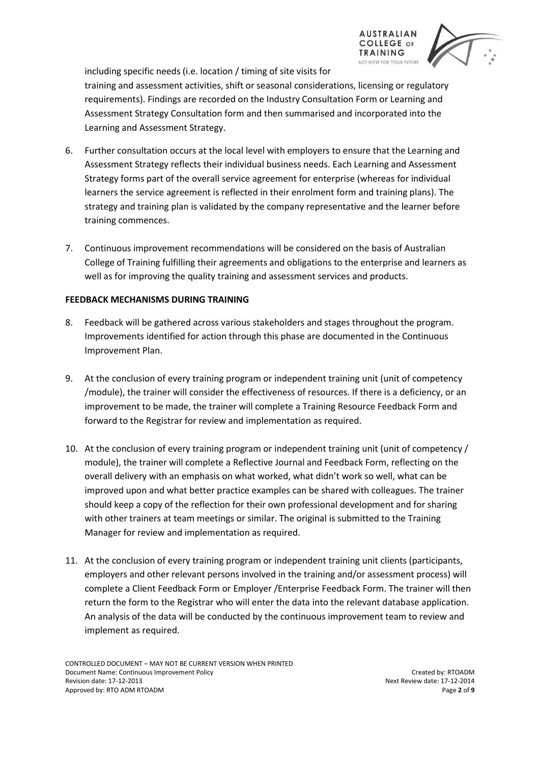

including specific needs (i.e. location / timing of site visits for

training and assessment activities, shift or seasonal considerations, licensing or regulatory requirements). Findings are recorded on the Industry Consultation Form or Learning and Assessment Strategy Consultation form and then summarised and incorporated into the Learning and Assessment Strategy.

- 6. Further consultation occurs at the local level with employers to ensure that the Learning and Assessment Strategy reflects their individual business needs. Each Learning and Assessment Strategy forms part of the overall service agreement for enterprise (whereas for individual learners the service agreement is reflected in their enrolment form and training plans). The strategy and training plan is validated by the company representative and the learner before training commences.
- 7. Continuous improvement recommendations will be considered on the basis of Australian College of Training fulfilling their agreements and obligations to the enterprise and learners as well as for improving the quality training and assessment services and products.

#### **FEEDBACK MECHANISMS DURING TRAINING**

- 8. Feedback will be gathered across various stakeholders and stages throughout the program. Improvements identified for action through this phase are documented in the Continuous Improvement Plan.
- 9. At the conclusion of every training program or independent training unit (unit of competency /module), the trainer will consider the effectiveness of resources. If there is a deficiency, or an improvement to be made, the trainer will complete a Training Resource Feedback Form and forward to the Registrar for review and implementation as required.
- 10. At the conclusion of every training program or independent training unit (unit of competency / module), the trainer will complete a Reflective Journal and Feedback Form, reflecting on the overall delivery with an emphasis on what worked, what didn't work so well, what can be improved upon and what better practice examples can be shared with colleagues. The trainer should keep a copy of the reflection for their own professional development and for sharing with other trainers at team meetings or similar. The original is submitted to the Training Manager for review and implementation as required.
- 11. At the conclusion of every training program or independent training unit clients (participants, employers and other relevant persons involved in the training and/or assessment process) will complete a Client Feedback Form or Employer /Enterprise Feedback Form. The trainer will then return the form to the Registrar who will enter the data into the relevant database application. An analysis of the data will be conducted by the continuous improvement team to review and implement as required.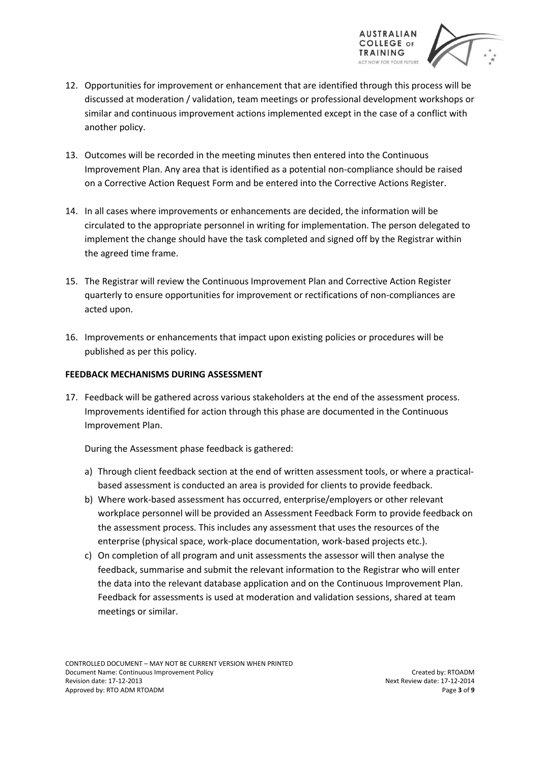

- 12. Opportunities for improvement or enhancement that are identified through this process will be discussed at moderation / validation, team meetings or professional development workshops or similar and continuous improvement actions implemented except in the case of a conflict with another policy.
- 13. Outcomes will be recorded in the meeting minutes then entered into the Continuous Improvement Plan. Any area that is identified as a potential non-compliance should be raised on a Corrective Action Request Form and be entered into the Corrective Actions Register.
- 14. In all cases where improvements or enhancements are decided, the information will be circulated to the appropriate personnel in writing for implementation. The person delegated to implement the change should have the task completed and signed off by the Registrar within the agreed time frame.
- 15. The Registrar will review the Continuous Improvement Plan and Corrective Action Register quarterly to ensure opportunities for improvement or rectifications of non-compliances are acted upon.
- 16. Improvements or enhancements that impact upon existing policies or procedures will be published as per this policy.

#### **FEEDBACK MECHANISMS DURING ASSESSMENT**

17. Feedback will be gathered across various stakeholders at the end of the assessment process. Improvements identified for action through this phase are documented in the Continuous Improvement Plan.

During the Assessment phase feedback is gathered:

- a) Through client feedback section at the end of written assessment tools, or where a practicalbased assessment is conducted an area is provided for clients to provide feedback.
- b) Where work-based assessment has occurred, enterprise/employers or other relevant workplace personnel will be provided an Assessment Feedback Form to provide feedback on the assessment process. This includes any assessment that uses the resources of the enterprise (physical space, work-place documentation, work-based projects etc.).
- c) On completion of all program and unit assessments the assessor will then analyse the feedback, summarise and submit the relevant information to the Registrar who will enter the data into the relevant database application and on the Continuous Improvement Plan. Feedback for assessments is used at moderation and validation sessions, shared at team meetings or similar.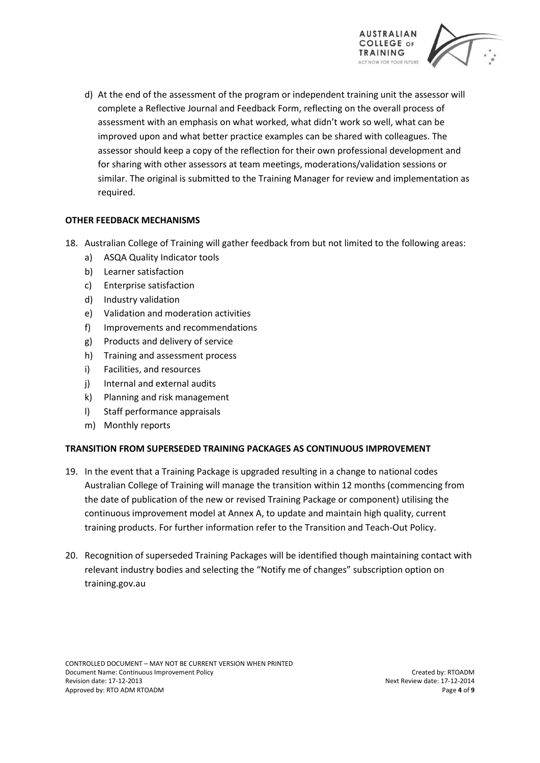

d) At the end of the assessment of the program or independent training unit the assessor will complete a Reflective Journal and Feedback Form, reflecting on the overall process of assessment with an emphasis on what worked, what didn't work so well, what can be improved upon and what better practice examples can be shared with colleagues. The assessor should keep a copy of the reflection for their own professional development and for sharing with other assessors at team meetings, moderations/validation sessions or similar. The original is submitted to the Training Manager for review and implementation as required.

### **OTHER FEEDBACK MECHANISMS**

- 18. Australian College of Training will gather feedback from but not limited to the following areas:
	- a) ASQA Quality Indicator tools
	- b) Learner satisfaction
	- c) Enterprise satisfaction
	- d) Industry validation
	- e) Validation and moderation activities
	- f) Improvements and recommendations
	- g) Products and delivery of service
	- h) Training and assessment process
	- i) Facilities, and resources
	- j) Internal and external audits
	- k) Planning and risk management
	- l) Staff performance appraisals
	- m) Monthly reports

#### **TRANSITION FROM SUPERSEDED TRAINING PACKAGES AS CONTINUOUS IMPROVEMENT**

- 19. In the event that a Training Package is upgraded resulting in a change to national codes Australian College of Training will manage the transition within 12 months (commencing from the date of publication of the new or revised Training Package or component) utilising the continuous improvement model at Annex A, to update and maintain high quality, current training products. For further information refer to the Transition and Teach-Out Policy.
- 20. Recognition of superseded Training Packages will be identified though maintaining contact with relevant industry bodies and selecting the "Notify me of changes" subscription option on training.gov.au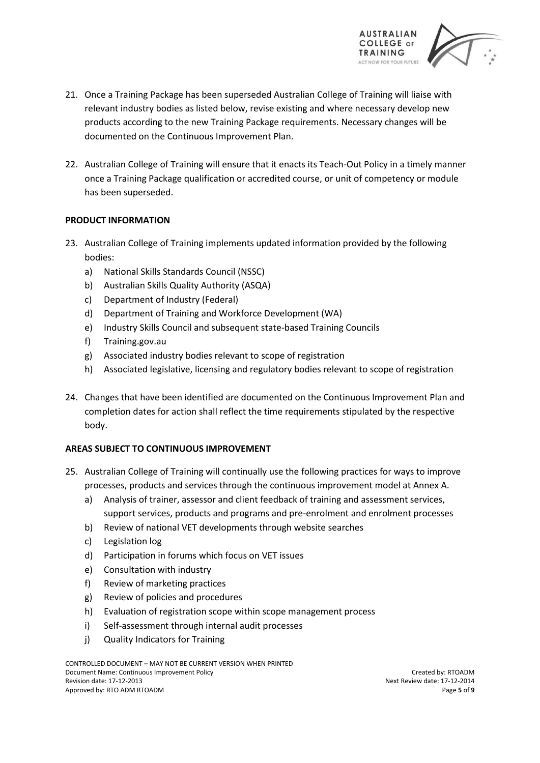

- 21. Once a Training Package has been superseded Australian College of Training will liaise with relevant industry bodies as listed below, revise existing and where necessary develop new products according to the new Training Package requirements. Necessary changes will be documented on the Continuous Improvement Plan.
- 22. Australian College of Training will ensure that it enacts its Teach-Out Policy in a timely manner once a Training Package qualification or accredited course, or unit of competency or module has been superseded.

### **PRODUCT INFORMATION**

- 23. Australian College of Training implements updated information provided by the following bodies:
	- a) National Skills Standards Council (NSSC)
	- b) Australian Skills Quality Authority (ASQA)
	- c) Department of Industry (Federal)
	- d) Department of Training and Workforce Development (WA)
	- e) Industry Skills Council and subsequent state-based Training Councils
	- f) Training.gov.au
	- g) Associated industry bodies relevant to scope of registration
	- h) Associated legislative, licensing and regulatory bodies relevant to scope of registration
- 24. Changes that have been identified are documented on the Continuous Improvement Plan and completion dates for action shall reflect the time requirements stipulated by the respective body.

## **AREAS SUBJECT TO CONTINUOUS IMPROVEMENT**

- 25. Australian College of Training will continually use the following practices for ways to improve processes, products and services through the continuous improvement model at Annex A.
	- a) Analysis of trainer, assessor and client feedback of training and assessment services, support services, products and programs and pre-enrolment and enrolment processes
	- b) Review of national VET developments through website searches
	- c) Legislation log
	- d) Participation in forums which focus on VET issues
	- e) Consultation with industry
	- f) Review of marketing practices
	- g) Review of policies and procedures
	- h) Evaluation of registration scope within scope management process
	- i) Self-assessment through internal audit processes
	- j) Quality Indicators for Training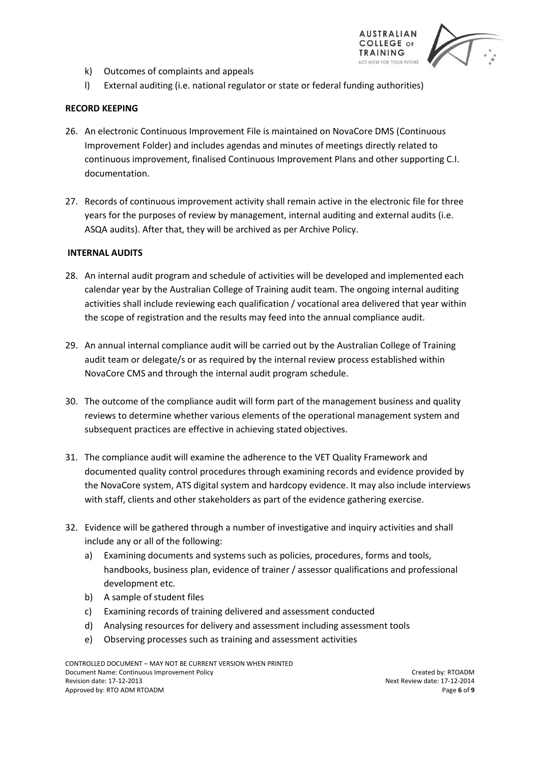

- k) Outcomes of complaints and appeals
- l) External auditing (i.e. national regulator or state or federal funding authorities)

### **RECORD KEEPING**

- 26. An electronic Continuous Improvement File is maintained on NovaCore DMS (Continuous Improvement Folder) and includes agendas and minutes of meetings directly related to continuous improvement, finalised Continuous Improvement Plans and other supporting C.I. documentation.
- 27. Records of continuous improvement activity shall remain active in the electronic file for three years for the purposes of review by management, internal auditing and external audits (i.e. ASQA audits). After that, they will be archived as per Archive Policy.

#### **INTERNAL AUDITS**

- 28. An internal audit program and schedule of activities will be developed and implemented each calendar year by the Australian College of Training audit team. The ongoing internal auditing activities shall include reviewing each qualification / vocational area delivered that year within the scope of registration and the results may feed into the annual compliance audit.
- 29. An annual internal compliance audit will be carried out by the Australian College of Training audit team or delegate/s or as required by the internal review process established within NovaCore CMS and through the internal audit program schedule.
- 30. The outcome of the compliance audit will form part of the management business and quality reviews to determine whether various elements of the operational management system and subsequent practices are effective in achieving stated objectives.
- 31. The compliance audit will examine the adherence to the VET Quality Framework and documented quality control procedures through examining records and evidence provided by the NovaCore system, ATS digital system and hardcopy evidence. It may also include interviews with staff, clients and other stakeholders as part of the evidence gathering exercise.
- 32. Evidence will be gathered through a number of investigative and inquiry activities and shall include any or all of the following:
	- a) Examining documents and systems such as policies, procedures, forms and tools, handbooks, business plan, evidence of trainer / assessor qualifications and professional development etc.
	- b) A sample of student files
	- c) Examining records of training delivered and assessment conducted
	- d) Analysing resources for delivery and assessment including assessment tools
	- e) Observing processes such as training and assessment activities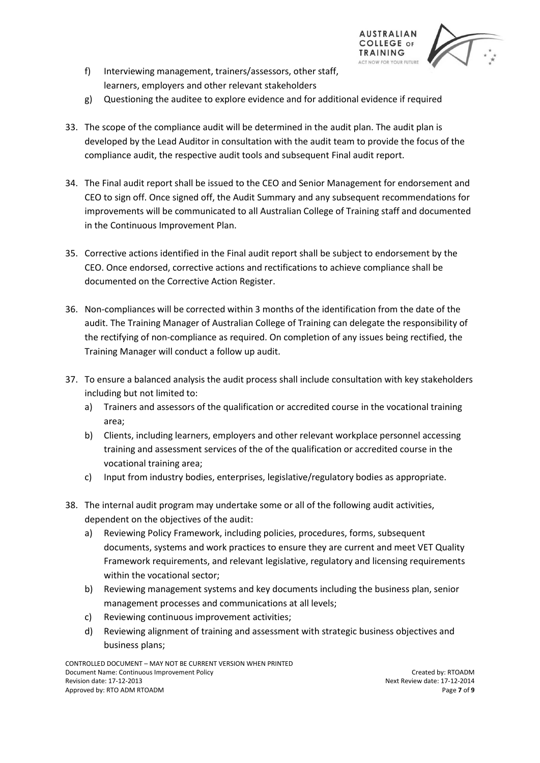

- f) Interviewing management, trainers/assessors, other staff, learners, employers and other relevant stakeholders
- g) Questioning the auditee to explore evidence and for additional evidence if required
- 33. The scope of the compliance audit will be determined in the audit plan. The audit plan is developed by the Lead Auditor in consultation with the audit team to provide the focus of the compliance audit, the respective audit tools and subsequent Final audit report.
- 34. The Final audit report shall be issued to the CEO and Senior Management for endorsement and CEO to sign off. Once signed off, the Audit Summary and any subsequent recommendations for improvements will be communicated to all Australian College of Training staff and documented in the Continuous Improvement Plan.
- 35. Corrective actions identified in the Final audit report shall be subject to endorsement by the CEO. Once endorsed, corrective actions and rectifications to achieve compliance shall be documented on the Corrective Action Register.
- 36. Non-compliances will be corrected within 3 months of the identification from the date of the audit. The Training Manager of Australian College of Training can delegate the responsibility of the rectifying of non-compliance as required. On completion of any issues being rectified, the Training Manager will conduct a follow up audit.
- 37. To ensure a balanced analysis the audit process shall include consultation with key stakeholders including but not limited to:
	- a) Trainers and assessors of the qualification or accredited course in the vocational training area;
	- b) Clients, including learners, employers and other relevant workplace personnel accessing training and assessment services of the of the qualification or accredited course in the vocational training area;
	- c) Input from industry bodies, enterprises, legislative/regulatory bodies as appropriate.
- 38. The internal audit program may undertake some or all of the following audit activities, dependent on the objectives of the audit:
	- a) Reviewing Policy Framework, including policies, procedures, forms, subsequent documents, systems and work practices to ensure they are current and meet VET Quality Framework requirements, and relevant legislative, regulatory and licensing requirements within the vocational sector;
	- b) Reviewing management systems and key documents including the business plan, senior management processes and communications at all levels;
	- c) Reviewing continuous improvement activities;
	- d) Reviewing alignment of training and assessment with strategic business objectives and business plans;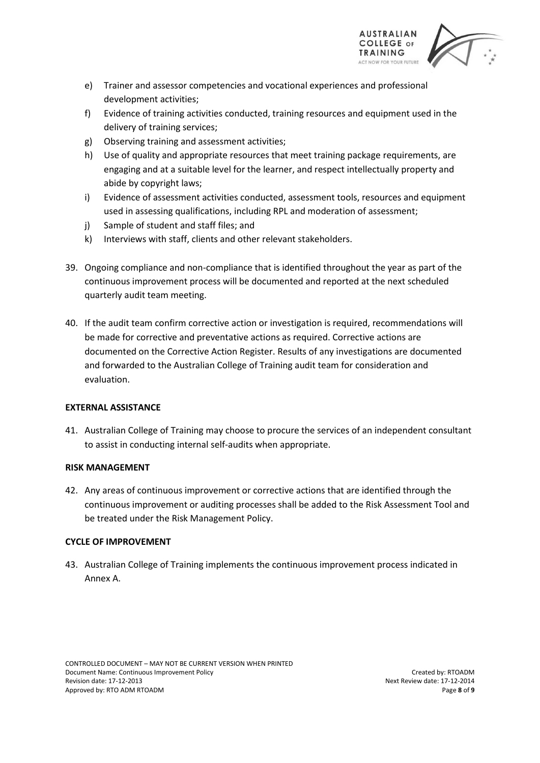

- e) Trainer and assessor competencies and vocational experiences and professional development activities;
- f) Evidence of training activities conducted, training resources and equipment used in the delivery of training services;
- g) Observing training and assessment activities;
- h) Use of quality and appropriate resources that meet training package requirements, are engaging and at a suitable level for the learner, and respect intellectually property and abide by copyright laws;
- i) Evidence of assessment activities conducted, assessment tools, resources and equipment used in assessing qualifications, including RPL and moderation of assessment;
- j) Sample of student and staff files; and
- k) Interviews with staff, clients and other relevant stakeholders.
- 39. Ongoing compliance and non-compliance that is identified throughout the year as part of the continuous improvement process will be documented and reported at the next scheduled quarterly audit team meeting.
- 40. If the audit team confirm corrective action or investigation is required, recommendations will be made for corrective and preventative actions as required. Corrective actions are documented on the Corrective Action Register. Results of any investigations are documented and forwarded to the Australian College of Training audit team for consideration and evaluation.

#### **EXTERNAL ASSISTANCE**

41. Australian College of Training may choose to procure the services of an independent consultant to assist in conducting internal self-audits when appropriate.

#### **RISK MANAGEMENT**

42. Any areas of continuous improvement or corrective actions that are identified through the continuous improvement or auditing processes shall be added to the Risk Assessment Tool and be treated under the Risk Management Policy.

#### **CYCLE OF IMPROVEMENT**

43. Australian College of Training implements the continuous improvement process indicated in Annex A.